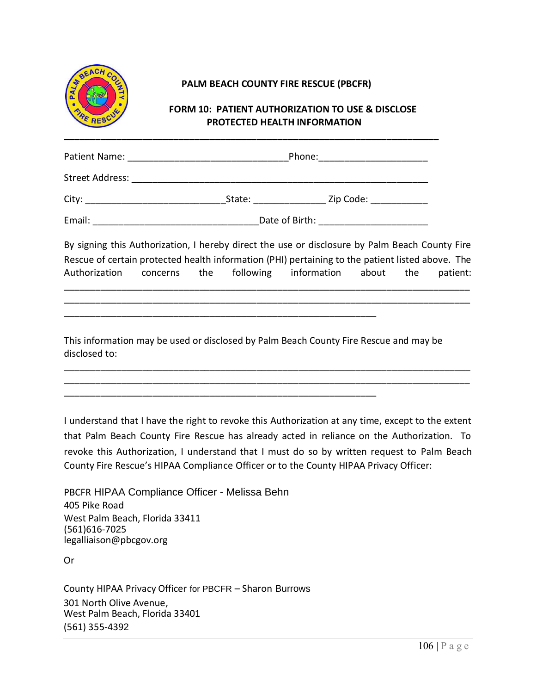

## PALM BEACH COUNTY FIRE RESCUE (PBCFR)<br>RM 10: PATIENT AUTHORIZATION TO USE & DISCLOSE<br>PROTECTED HEALTH INFORMATION

| RAY BEACH | PALM BEACH COUNTY FIRE RESCUE (PBCFR) |                                                                                             |  |
|-----------|---------------------------------------|---------------------------------------------------------------------------------------------|--|
| RESCU     |                                       | <b>FORM 10: PATIENT AUTHORIZATION TO USE &amp; DISCLOSE</b><br>PROTECTED HEALTH INFORMATION |  |
|           |                                       |                                                                                             |  |
|           |                                       |                                                                                             |  |
|           |                                       |                                                                                             |  |
| Email:    |                                       | Date of Birth:                                                                              |  |

By signing this Authorization, I hereby direct the use or disclosure by Palm Beach County Fire Rescue of certain protected health information (PHI) pertaining to the patient listed above. The Authorization concerns the following information about the patient: \_\_\_\_\_\_\_\_\_\_\_\_\_\_\_\_\_\_\_\_\_\_\_\_\_\_\_\_\_\_\_\_\_\_\_\_\_\_\_\_\_\_\_\_\_\_\_\_\_\_\_\_\_\_\_\_\_\_\_\_\_\_\_\_\_\_\_\_\_\_\_\_\_\_\_\_\_\_

\_\_\_\_\_\_\_\_\_\_\_\_\_\_\_\_\_\_\_\_\_\_\_\_\_\_\_\_\_\_\_\_\_\_\_\_\_\_\_\_\_\_\_\_\_\_\_\_\_\_\_\_\_\_\_\_\_\_\_\_\_\_\_\_\_\_\_\_\_\_\_\_\_\_\_\_\_\_

\_\_\_\_\_\_\_\_\_\_\_\_\_\_\_\_\_\_\_\_\_\_\_\_\_\_\_\_\_\_\_\_\_\_\_\_\_\_\_\_\_\_\_\_\_\_\_\_\_\_\_\_\_\_\_\_\_\_\_\_\_\_\_\_\_\_\_\_\_\_\_\_\_\_\_\_\_\_ \_\_\_\_\_\_\_\_\_\_\_\_\_\_\_\_\_\_\_\_\_\_\_\_\_\_\_\_\_\_\_\_\_\_\_\_\_\_\_\_\_\_\_\_\_\_\_\_\_\_\_\_\_\_\_\_\_\_\_\_\_\_\_\_\_\_\_\_\_\_\_\_\_\_\_\_\_\_

This information may be used or disclosed by Palm Beach County Fire Rescue and may be disclosed to:

\_\_\_\_\_\_\_\_\_\_\_\_\_\_\_\_\_\_\_\_\_\_\_\_\_\_\_\_\_\_\_\_\_\_\_\_\_\_\_\_\_\_\_\_\_\_\_\_\_\_\_\_\_\_\_\_\_\_\_\_

\_\_\_\_\_\_\_\_\_\_\_\_\_\_\_\_\_\_\_\_\_\_\_\_\_\_\_\_\_\_\_\_\_\_\_\_\_\_\_\_\_\_\_\_\_\_\_\_\_\_\_\_\_\_\_\_\_\_\_\_

to the extent<br>rization. To<br>Palm Beach<br>cer:<br>106 | P a g e I understand that I have the right to revoke this Authorization at any time, except to the extent that Palm Beach County Fire Rescue has already acted in reliance on the Authorization. To revoke this Authorization, I understand that I must do so by written request to Palm Beach County Fire Rescue's HIPAA Compliance Officer or to the County HIPAA Privacy Officer:

PBCFR HIPAA Compliance Officer - Melissa Behn 405 Pike Road West Palm Beach, Florida 33411 (561)616-7025 legalliaison@pbcgov.org

Or

County HIPAA Privacy Officer for PBCFR – Sharon Burrows 301 North Olive Avenue, West Palm Beach, Florida 33401 (561) 355-4392